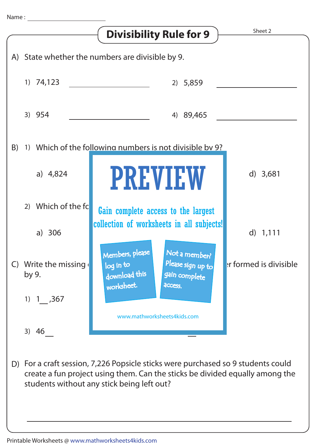

D) For a craft session, 7,226 Popsicle sticks were purchased so 9 students could create a fun project using them. Can the sticks be divided equally among the students without any stick being left out?